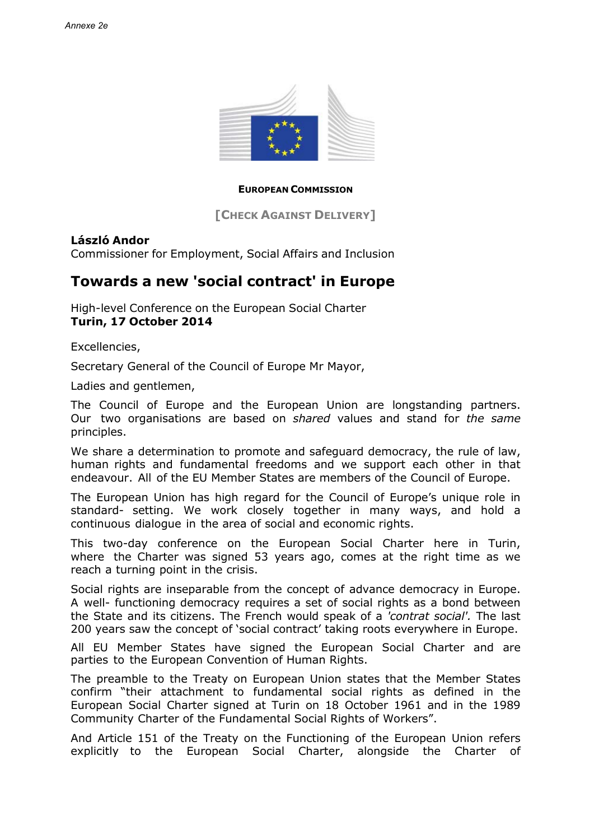

## **EUROPEAN COMMISSION**

**[CHECK AGAINST DELIVERY]**

## **László Andor**

Commissioner for Employment, Social Affairs and Inclusion

## **Towards a new 'social contract' in Europe**

High-level Conference on the European Social Charter **Turin, 17 October 2014**

Excellencies,

Secretary General of the Council of Europe Mr Mayor,

Ladies and gentlemen,

The Council of Europe and the European Union are longstanding partners. Our two organisations are based on *shared* values and stand for *the same*  principles.

We share a determination to promote and safeguard democracy, the rule of law, human rights and fundamental freedoms and we support each other in that endeavour. All of the EU Member States are members of the Council of Europe.

The European Union has high regard for the Council of Europe's unique role in standard- setting. We work closely together in many ways, and hold a continuous dialogue in the area of social and economic rights.

This two-day conference on the European Social Charter here in Turin, where the Charter was signed 53 years ago, comes at the right time as we reach a turning point in the crisis.

Social rights are inseparable from the concept of advance democracy in Europe. A well- functioning democracy requires a set of social rights as a bond between the State and its citizens. The French would speak of a *'contrat social'.* The last 200 years saw the concept of 'social contract' taking roots everywhere in Europe.

All EU Member States have signed the European Social Charter and are parties to the European Convention of Human Rights.

The preamble to the Treaty on European Union states that the Member States confirm "their attachment to fundamental social rights as defined in the European Social Charter signed at Turin on 18 October 1961 and in the 1989 Community Charter of the Fundamental Social Rights of Workers".

And Article 151 of the Treaty on the Functioning of the European Union refers explicitly to the European Social Charter, alongside the Charter of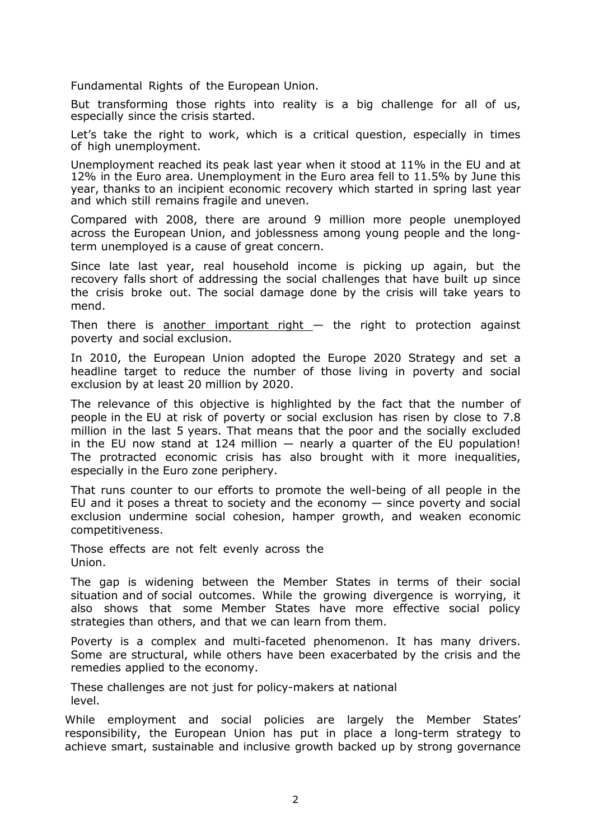Fundamental Rights of the European Union.

But transforming those rights into reality is a big challenge for all of us, especially since the crisis started.

Let's take the right to work, which is a critical question, especially in times of high unemployment.

Unemployment reached its peak last year when it stood at 11% in the EU and at 12% in the Euro area. Unemployment in the Euro area fell to 11.5% by June this year, thanks to an incipient economic recovery which started in spring last year and which still remains fragile and uneven.

Compared with 2008, there are around 9 million more people unemployed across the European Union, and joblessness among young people and the longterm unemployed is a cause of great concern.

Since late last year, real household income is picking up again, but the recovery falls short of addressing the social challenges that have built up since the crisis broke out. The social damage done by the crisis will take years to mend.

Then there is another important right  $-$  the right to protection against poverty and social exclusion.

In 2010, the European Union adopted the Europe 2020 Strategy and set a headline target to reduce the number of those living in poverty and social exclusion by at least 20 million by 2020.

The relevance of this objective is highlighted by the fact that the number of people in the EU at risk of poverty or social exclusion has risen by close to 7.8 million in the last 5 years. That means that the poor and the socially excluded in the EU now stand at 124 million  $-$  nearly a quarter of the EU population! The protracted economic crisis has also brought with it more inequalities, especially in the Euro zone periphery.

That runs counter to our efforts to promote the well-being of all people in the EU and it poses a threat to society and the economy  $-$  since poverty and social exclusion undermine social cohesion, hamper growth, and weaken economic competitiveness.

Those effects are not felt evenly across the Union.

The gap is widening between the Member States in terms of their social situation and of social outcomes. While the growing divergence is worrying, it also shows that some Member States have more effective social policy strategies than others, and that we can learn from them.

Poverty is a complex and multi-faceted phenomenon. It has many drivers. Some are structural, while others have been exacerbated by the crisis and the remedies applied to the economy.

These challenges are not just for policy-makers at national level.

While employment and social policies are largely the Member States' responsibility, the European Union has put in place a long-term strategy to achieve smart, sustainable and inclusive growth backed up by strong governance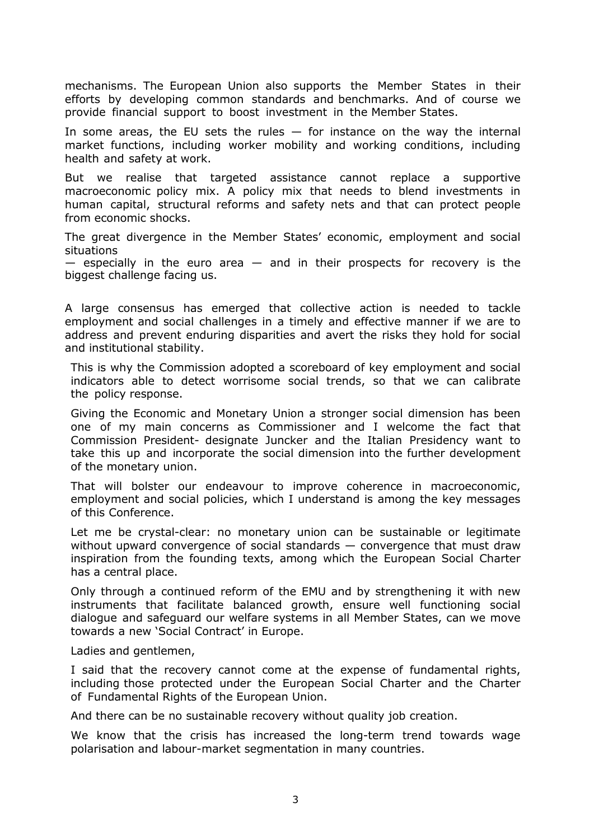mechanisms. The European Union also supports the Member States in their efforts by developing common standards and benchmarks. And of course we provide financial support to boost investment in the Member States.

In some areas, the EU sets the rules — for instance on the way the internal market functions, including worker mobility and working conditions, including health and safety at work.

But we realise that targeted assistance cannot replace a supportive macroeconomic policy mix. A policy mix that needs to blend investments in human capital, structural reforms and safety nets and that can protect people from economic shocks.

The great divergence in the Member States' economic, employment and social situations

 $-$  especially in the euro area  $-$  and in their prospects for recovery is the biggest challenge facing us.

A large consensus has emerged that collective action is needed to tackle employment and social challenges in a timely and effective manner if we are to address and prevent enduring disparities and avert the risks they hold for social and institutional stability.

This is why the Commission adopted a scoreboard of key employment and social indicators able to detect worrisome social trends, so that we can calibrate the policy response.

Giving the Economic and Monetary Union a stronger social dimension has been one of my main concerns as Commissioner and I welcome the fact that Commission President- designate Juncker and the Italian Presidency want to take this up and incorporate the social dimension into the further development of the monetary union.

That will bolster our endeavour to improve coherence in macroeconomic, employment and social policies, which I understand is among the key messages of this Conference.

Let me be crystal-clear: no monetary union can be sustainable or legitimate without upward convergence of social standards — convergence that must draw inspiration from the founding texts, among which the European Social Charter has a central place.

Only through a continued reform of the EMU and by strengthening it with new instruments that facilitate balanced growth, ensure well functioning social dialogue and safeguard our welfare systems in all Member States, can we move towards a new 'Social Contract' in Europe.

Ladies and gentlemen,

I said that the recovery cannot come at the expense of fundamental rights, including those protected under the European Social Charter and the Charter of Fundamental Rights of the European Union.

And there can be no sustainable recovery without quality job creation.

We know that the crisis has increased the long-term trend towards wage polarisation and labour-market segmentation in many countries.